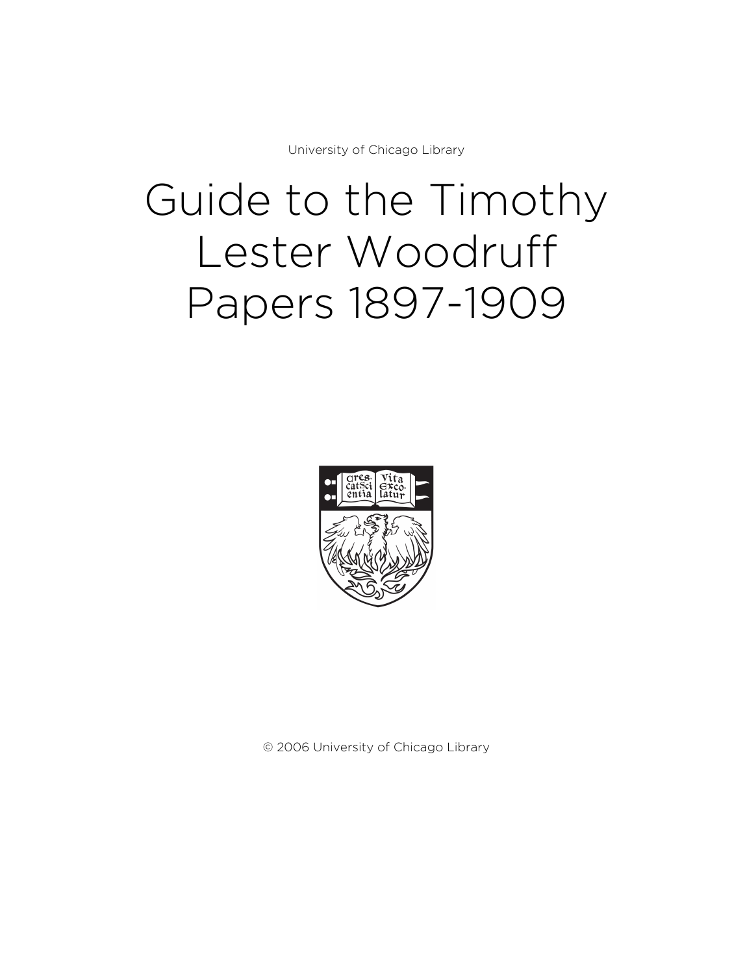University of Chicago Library

# Guide to the Timothy Lester Woodruff Papers 1897-1909



© 2006 University of Chicago Library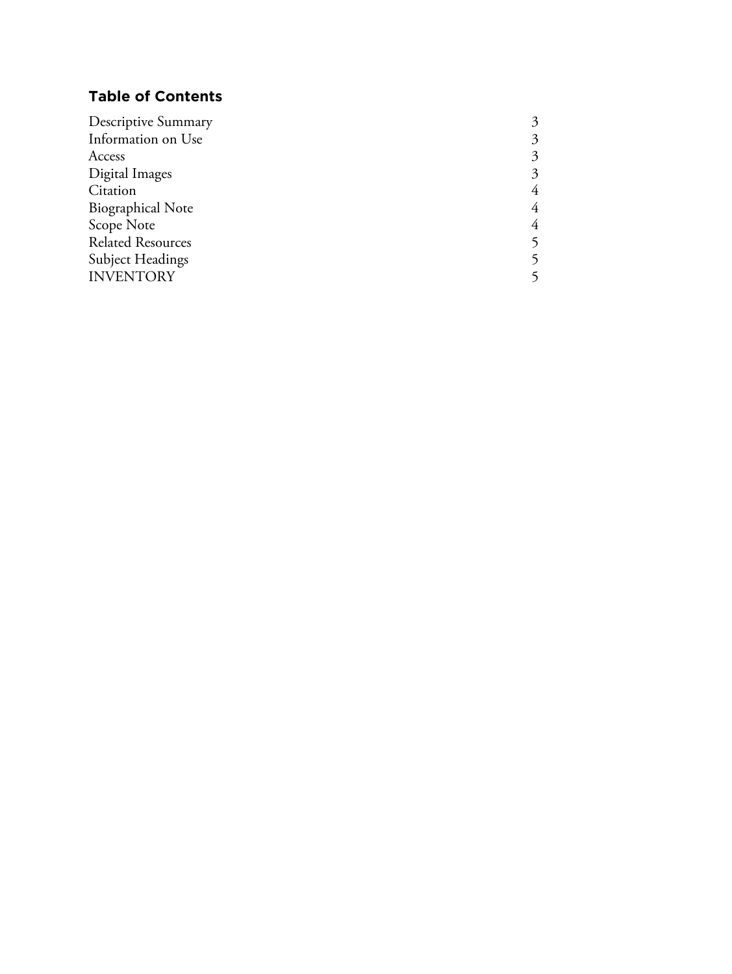# **Table of Contents**

| 3 |
|---|
| 3 |
| 3 |
| 4 |
| 4 |
| 4 |
|   |
|   |
|   |
|   |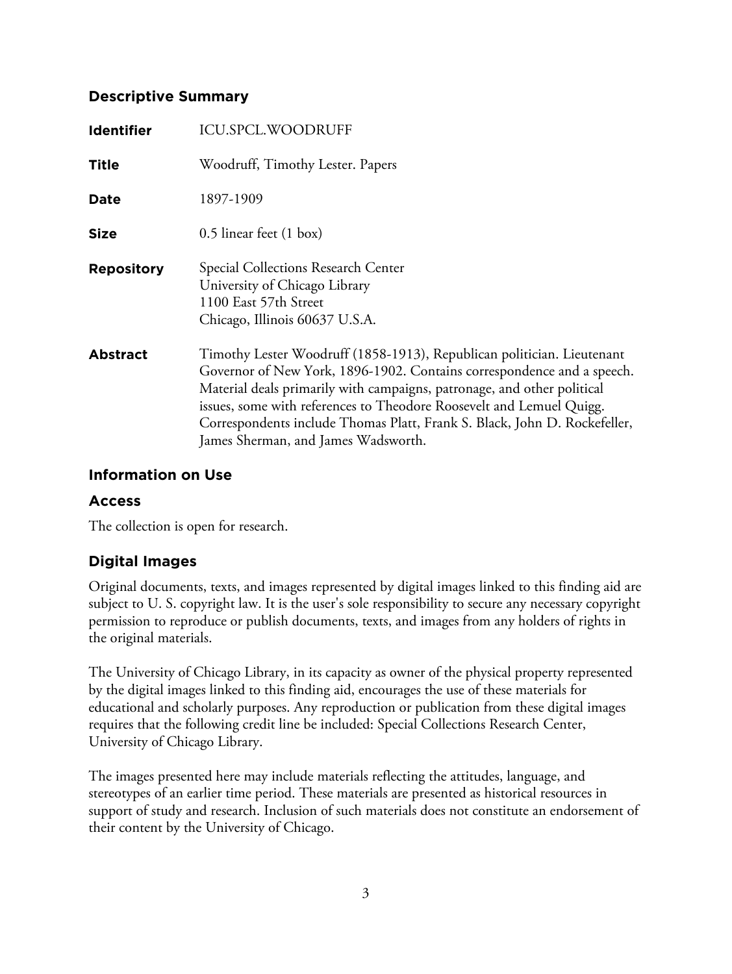#### **Descriptive Summary**

| <b>Identifier</b> | <b>ICU.SPCL.WOODRUFF</b>                                                                                                                                                                                                                                                                                                                                                                                                |
|-------------------|-------------------------------------------------------------------------------------------------------------------------------------------------------------------------------------------------------------------------------------------------------------------------------------------------------------------------------------------------------------------------------------------------------------------------|
| <b>Title</b>      | Woodruff, Timothy Lester. Papers                                                                                                                                                                                                                                                                                                                                                                                        |
| Date              | 1897-1909                                                                                                                                                                                                                                                                                                                                                                                                               |
| <b>Size</b>       | 0.5 linear feet (1 box)                                                                                                                                                                                                                                                                                                                                                                                                 |
| <b>Repository</b> | Special Collections Research Center<br>University of Chicago Library<br>1100 East 57th Street<br>Chicago, Illinois 60637 U.S.A.                                                                                                                                                                                                                                                                                         |
| <b>Abstract</b>   | Timothy Lester Woodruff (1858-1913), Republican politician. Lieutenant<br>Governor of New York, 1896-1902. Contains correspondence and a speech.<br>Material deals primarily with campaigns, patronage, and other political<br>issues, some with references to Theodore Roosevelt and Lemuel Quigg.<br>Correspondents include Thomas Platt, Frank S. Black, John D. Rockefeller,<br>James Sherman, and James Wadsworth. |

#### **Information on Use**

#### **Access**

The collection is open for research.

## **Digital Images**

Original documents, texts, and images represented by digital images linked to this finding aid are subject to U. S. copyright law. It is the user's sole responsibility to secure any necessary copyright permission to reproduce or publish documents, texts, and images from any holders of rights in the original materials.

The University of Chicago Library, in its capacity as owner of the physical property represented by the digital images linked to this finding aid, encourages the use of these materials for educational and scholarly purposes. Any reproduction or publication from these digital images requires that the following credit line be included: Special Collections Research Center, University of Chicago Library.

The images presented here may include materials reflecting the attitudes, language, and stereotypes of an earlier time period. These materials are presented as historical resources in support of study and research. Inclusion of such materials does not constitute an endorsement of their content by the University of Chicago.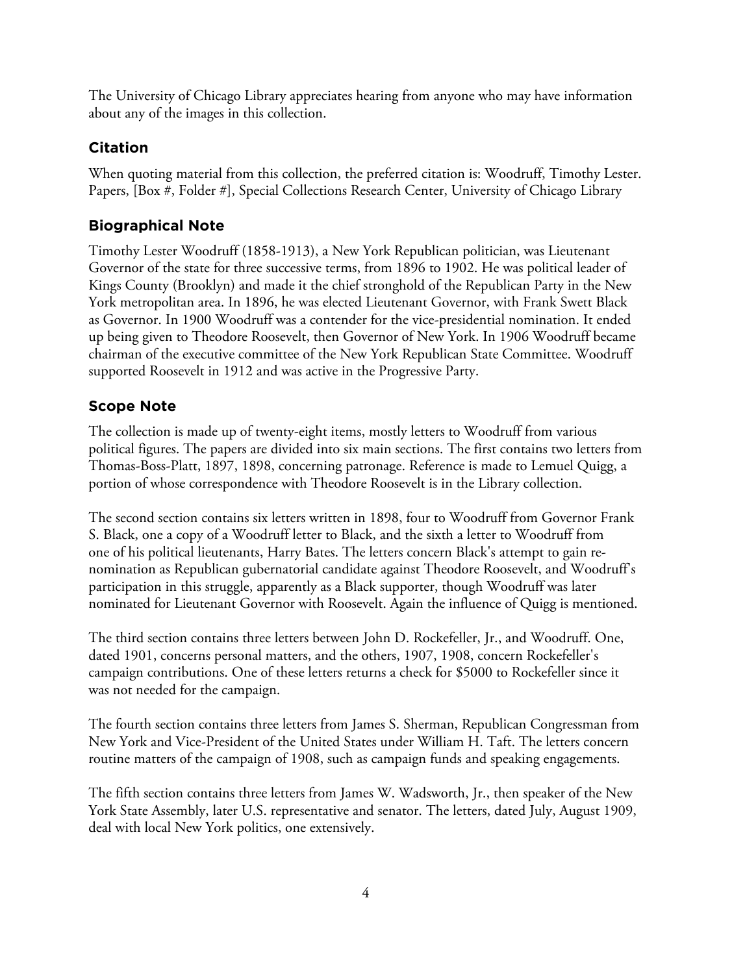The University of Chicago Library appreciates hearing from anyone who may have information about any of the images in this collection.

## **Citation**

When quoting material from this collection, the preferred citation is: Woodruff, Timothy Lester. Papers, [Box #, Folder #], Special Collections Research Center, University of Chicago Library

# **Biographical Note**

Timothy Lester Woodruff (1858-1913), a New York Republican politician, was Lieutenant Governor of the state for three successive terms, from 1896 to 1902. He was political leader of Kings County (Brooklyn) and made it the chief stronghold of the Republican Party in the New York metropolitan area. In 1896, he was elected Lieutenant Governor, with Frank Swett Black as Governor. In 1900 Woodruff was a contender for the vice-presidential nomination. It ended up being given to Theodore Roosevelt, then Governor of New York. In 1906 Woodruff became chairman of the executive committee of the New York Republican State Committee. Woodruff supported Roosevelt in 1912 and was active in the Progressive Party.

# **Scope Note**

The collection is made up of twenty-eight items, mostly letters to Woodruff from various political figures. The papers are divided into six main sections. The first contains two letters from Thomas-Boss-Platt, 1897, 1898, concerning patronage. Reference is made to Lemuel Quigg, a portion of whose correspondence with Theodore Roosevelt is in the Library collection.

The second section contains six letters written in 1898, four to Woodruff from Governor Frank S. Black, one a copy of a Woodruff letter to Black, and the sixth a letter to Woodruff from one of his political lieutenants, Harry Bates. The letters concern Black's attempt to gain renomination as Republican gubernatorial candidate against Theodore Roosevelt, and Woodruff's participation in this struggle, apparently as a Black supporter, though Woodruff was later nominated for Lieutenant Governor with Roosevelt. Again the influence of Quigg is mentioned.

The third section contains three letters between John D. Rockefeller, Jr., and Woodruff. One, dated 1901, concerns personal matters, and the others, 1907, 1908, concern Rockefeller's campaign contributions. One of these letters returns a check for \$5000 to Rockefeller since it was not needed for the campaign.

The fourth section contains three letters from James S. Sherman, Republican Congressman from New York and Vice-President of the United States under William H. Taft. The letters concern routine matters of the campaign of 1908, such as campaign funds and speaking engagements.

The fifth section contains three letters from James W. Wadsworth, Jr., then speaker of the New York State Assembly, later U.S. representative and senator. The letters, dated July, August 1909, deal with local New York politics, one extensively.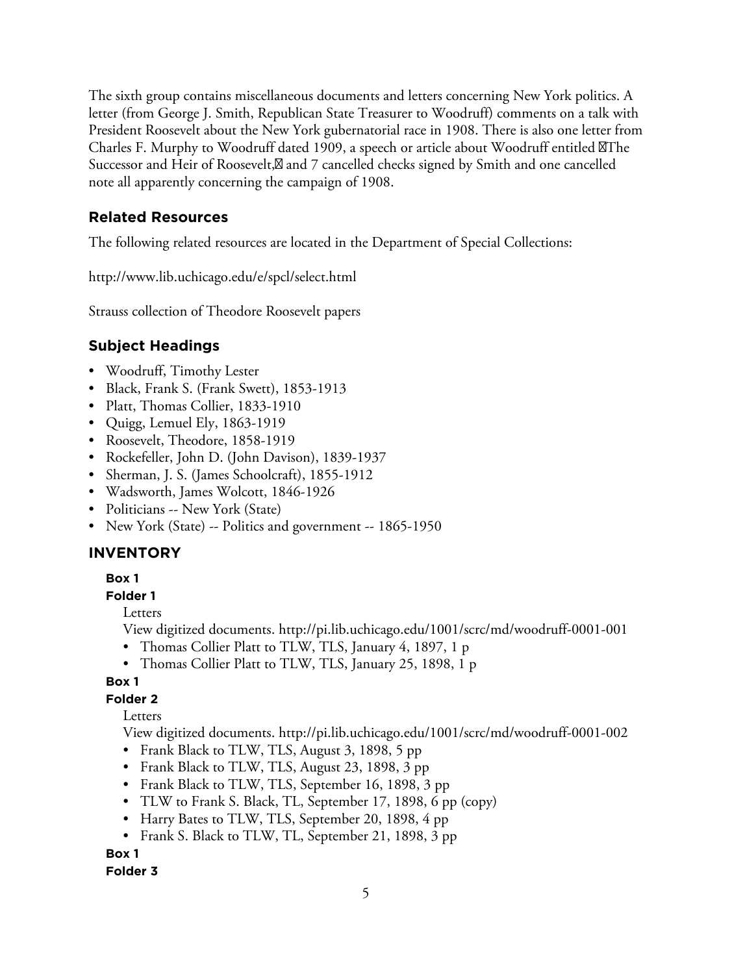The sixth group contains miscellaneous documents and letters concerning New York politics. A letter (from George J. Smith, Republican State Treasurer to Woodruff) comments on a talk with President Roosevelt about the New York gubernatorial race in 1908. There is also one letter from Charles F. Murphy to Woodruff dated 1909, a speech or article about Woodruff entitled The Successor and Heir of Roosevelt,  $\boxtimes$  and 7 cancelled checks signed by Smith and one cancelled note all apparently concerning the campaign of 1908.

## **Related Resources**

The following related resources are located in the Department of Special Collections:

http://www.lib.uchicago.edu/e/spcl/select.html

Strauss collection of Theodore Roosevelt papers

# **Subject Headings**

- Woodruff, Timothy Lester
- Black, Frank S. (Frank Swett), 1853-1913
- Platt, Thomas Collier, 1833-1910
- Quigg, Lemuel Ely, 1863-1919
- Roosevelt, Theodore, 1858-1919
- Rockefeller, John D. (John Davison), 1839-1937
- Sherman, J. S. (James Schoolcraft), 1855-1912
- Wadsworth, James Wolcott, 1846-1926
- Politicians -- New York (State)
- New York (State) -- Politics and government -- 1865-1950

# **INVENTORY**

#### **Box 1**

#### **Folder 1**

Letters

View digitized documents. <http://pi.lib.uchicago.edu/1001/scrc/md/woodruff-0001-001>

- Thomas Collier Platt to TLW, TLS, January 4, 1897, 1 p
- Thomas Collier Platt to TLW, TLS, January 25, 1898, 1 p

#### **Box 1**

#### **Folder 2**

Letters

View digitized documents. <http://pi.lib.uchicago.edu/1001/scrc/md/woodruff-0001-002>

- Frank Black to TLW, TLS, August 3, 1898, 5 pp
- Frank Black to TLW, TLS, August 23, 1898, 3 pp
- Frank Black to TLW, TLS, September 16, 1898, 3 pp
- TLW to Frank S. Black, TL, September 17, 1898, 6 pp (copy)
- Harry Bates to TLW, TLS, September 20, 1898, 4 pp
- Frank S. Black to TLW, TL, September 21, 1898, 3 pp

## **Box 1**

#### **Folder 3**